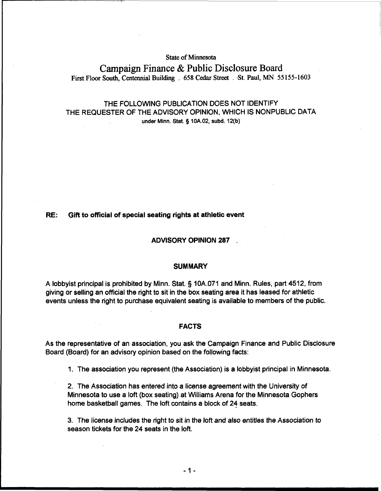## **State of Minnesota**

# **Campaign Finance** & **Public Disclosure Board First Floor South, Centennial Building** . **658 Cedar Street** . **-St. Paul, MN 55 155-1603**

## THE FOLLOWING PUBLICATION DOES NOT IDENTIFY THE REQUESTER OF THE ADVISORY OPINION, WHICH IS NONPUBLIC DATA **under Minn.** Stat. **g lOA.02, subd. 12(b)**

### RE: Gift to official of special seating rights at athletic event

### ADVISORY OPINION 287 .

## **SUMMARY**

A lobbyist principal is prohibited by Minn. Stat. § 10A.071 and Minn. Rules, part 4512, from giving or selling an official the right to sit in the box seating area it has leased for athletic events unless the right to purchase equivalent seating is available to members of the public.

#### FACTS

As the representative of an association, you ask the Campaign Finance and Public Disclosure Board (Board) for an advisory opinion based on the following facts:

1. The association you represent (the Association) is a lobbyist principal in Minnesota.

2. The Association has entered into a license agreement with the University of Minnesota to use a loft (box seating) at Williams Arena for the Minnesota Gophers home basketball games. The loft contains a block of 24 seats.

3. The license includes the right to sit in the loft and also entitles the Association to season tickets for the 24 seats in the loft.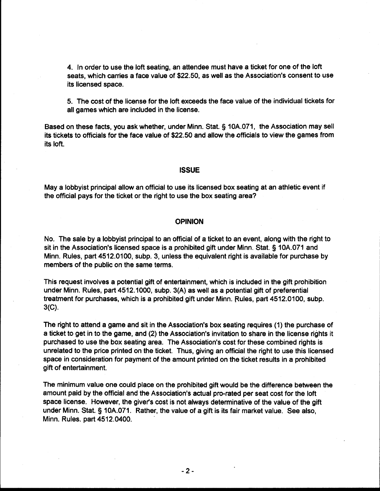4. In order to use the loft seating, an attendee must have a ticket for one of the loft seats, which carries a face value of \$22.50, as well as the Association's consent to use its licensed space.

5. The cost of the license for the loft exceeds the face value of the individual tickets for all games which are included in the license.

Based on these facts, you ask whether, under Minn. Stat. § 10A.071, the Association may sell its tickets to officials for the face value of \$22.50 and allow the officials to view the games from its loft.

#### **ISSUE**

May a lobbyist principal allow an official to use its licensed box seating at an athletic event if the official pays for the ticket or the right to use the box seating area?

## **OPINION**

No. The sale by a lobbyist principal to an official of a ticket to an event, along with the right to sit in the Association's licensed space is a prohibited gift under Minn. Stat. § 10A.071 and Minn. Rules, part 4512.0100, subp. 3, unless the equivalent right is available for purchase by members of the public on the same terms.

This request involves a potential gift of entertainment, which is included in the gift prohibition under Minn. Rules, part 4512.1000, subp. 3(A) as well as a potential gift of preferential treatment for purchases, which is a prohibited gift under Minn. Rules, part 4512.0100, subp. **3(C).** 

The right to attend a game and sit in the Association's box seating requires (1) the purchase of a ticket to get in to the game, and (2) the Association's invitation to share in the license rights it purchased to use the box seating area. The Association's cost for these combined rights is unrelated to the price printed on the ticket. Thus, giving an official the right to use this licensed space in consideration for payment of the amount printed on the ticket results in a prohibited gift of entertainment.

The minimum value one could place on the prohibited gift would be the difference between the amount paid by the official and the Association's actual pro-rated per seat cost for the loft space license. However, the giver's cost is not always determinative of the value of the gift under Minn. Stat. 5 10A.071. Rather, the value of a gift is its fair market value. See also, Minn. Rules. part 4512.0400.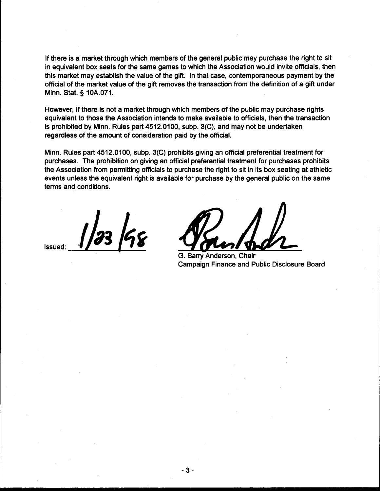If there is a market through which members of the general public may purchase the right to sit in equivalent box seats for the same games to which the Association would invite officials, then this market may establish the value of the gift. In that case, contemporaneous payment by the official of the market value of the gift removes the transaction from the definition of a gift under Minn. Stat. **3** 10A.071.

However, if there is not a market through which members of the public may purchase rights equivalent to those the Association intends to make available to officials, then the transaction is prohibited by Minn. Rules part 4512.0100, subp. 3(C), and may not be undertaken regardless of the amount of consideration paid by the official.

Minn. Rules part 4512.0100, subp. 3(C) prohibits giving an official preferential treatment for purchases. The prohibition on giving an official preferential treatment for purchases prohibits the Association from permitting officials to purchase the right to sit in its box seating at athletic events unless the equivalent right is available for purchase by the general public on the same terms and conditions.

23 198 **Issued** 

G. Barry Anderson, Chair Campaign Finance and Public Disclosure Board